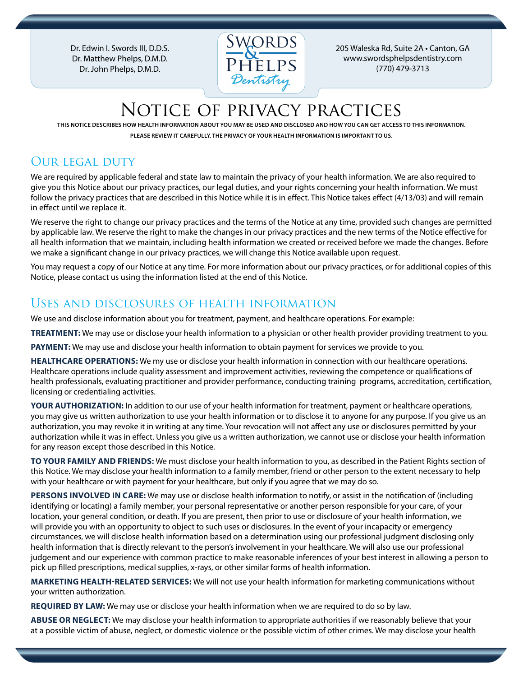Dr. Edwin I. Swords III, D.D.S. Dr. Matthew Phelps, D.M.D. Dr. John Phelps, D.M.D.



205 Waleska Rd, Suite 2A • Canton, GA www.swordsphelpsdentistry.com (770) 479-3713

# Notice of privacy practices

**This notice describes how health information about you may be used and disclosed and how you can get access to this information. Please review it carefully. The privacy oF your health information is important to us.**

#### Our legal duty

We are required by applicable federal and state law to maintain the privacy of your health information. We are also required to give you this Notice about our privacy practices, our legal duties, and your rights concerning your health information. We must follow the privacy practices that are described in this Notice while it is in effect. This Notice takes effect (4/13/03) and will remain in effect until we replace it.

We reserve the right to change our privacy practices and the terms of the Notice at any time, provided such changes are permitted by applicable law. We reserve the right to make the changes in our privacy practices and the new terms of the Notice effective for all health information that we maintain, including health information we created or received before we made the changes. Before we make a significant change in our privacy practices, we will change this Notice available upon request.

You may request a copy of our Notice at any time. For more information about our privacy practices, or for additional copies of this Notice, please contact us using the information listed at the end of this Notice.

#### Uses and disclosures of health information

We use and disclose information about you for treatment, payment, and healthcare operations. For example:

**Treatment:** We may use or disclose your health information to a physician or other health provider providing treatment to you.

**Payment:** We may use and disclose your health information to obtain payment for services we provide to you.

**Healthcare Operations:** We my use or disclose your health information in connection with our healthcare operations. Healthcare operations include quality assessment and improvement activities, reviewing the competence or qualifications of health professionals, evaluating practitioner and provider performance, conducting training programs, accreditation, certification, licensing or credentialing activities.

**YOUR AUTHORIZATION:** In addition to our use of your health information for treatment, payment or healthcare operations, you may give us written authorization to use your health information or to disclose it to anyone for any purpose. If you give us an authorization, you may revoke it in writing at any time. Your revocation will not affect any use or disclosures permitted by your authorization while it was in effect. Unless you give us a written authorization, we cannot use or disclose your health information for any reason except those described in this Notice.

**To Your Family and Friends:** We must disclose your health information to you, as described in the Patient Rights section of this Notice. We may disclose your health information to a family member, friend or other person to the extent necessary to help with your healthcare or with payment for your healthcare, but only if you agree that we may do so.

**PERSONS INVOLVED IN CARE:** We may use or disclose health information to notify, or assist in the notification of (including identifying or locating) a family member, your personal representative or another person responsible for your care, of your location, your general condition, or death. If you are present, then prior to use or disclosure of your health information, we will provide you with an opportunity to object to such uses or disclosures. In the event of your incapacity or emergency circumstances, we will disclose health information based on a determination using our professional judgment disclosing only health information that is directly relevant to the person's involvement in your healthcare. We will also use our professional judgement and our experience with common practice to make reasonable inferences of your best interest in allowing a person to pick up filled prescriptions, medical supplies, x-rays, or other similar forms of health information.

**Marketing Health-Related Services:** We will not use your health information for marketing communications without your written authorization.

**Required By Law:** We may use or disclose your health information when we are required to do so by law.

**Abuse or Neglect:** We may disclose your health information to appropriate authorities if we reasonably believe that your at a possible victim of abuse, neglect, or domestic violence or the possible victim of other crimes. We may disclose your health